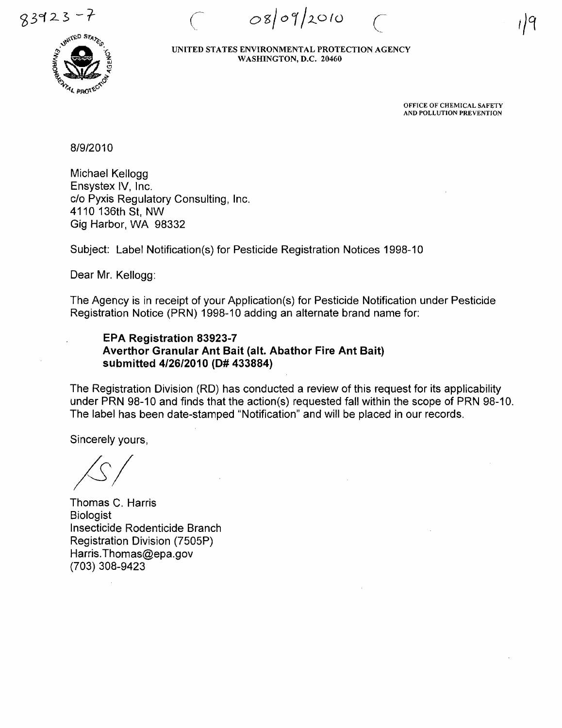$0809/2010$ 

,/9



UNITED STATES ENVIRONMENTAL PROTECTION AGENCY WASHINGTON, D.C. 20460

> OFFICE OF CHEMICAL SAFETY AND POLLUTION PREVENTION

 $\overline{C}$ 

8/9/2010

Michael Kellogg Ensystex IV, Inc. c/o Pyxis Regulatory Consulting, Inc. 4110 136th St, NW Gig Harbor, WA 98332

Subject: Label Notification(s) for Pesticide Registration Notices 1998-10

Dear Mr. Kellogg:

The Agency is in receipt of your Application(s) for Pesticide Notification under Pesticide Registration Notice (PRN) 1998-10 adding an alternate brand name for:

## EPA Registration 83923-7 Averthor Granular Ant Bait (alt. Abathor Fire Ant Bait) submitted 4/26/2010 (0# 433884)

The Registration Division (RD) has conducted a review of this request for its applicability under PRN 98-10 and finds that the action(s) requested fall within the scope of PRN 98-10. The label has been date-stamped "Notification" and will be placed in our records.

Sincerely yours,

*/SI* 

Thomas C. Harris Biologist Insecticide Rodenticide Branch Registration Division (7505P) Harris. Thomas@epa.gov (703) 308-9423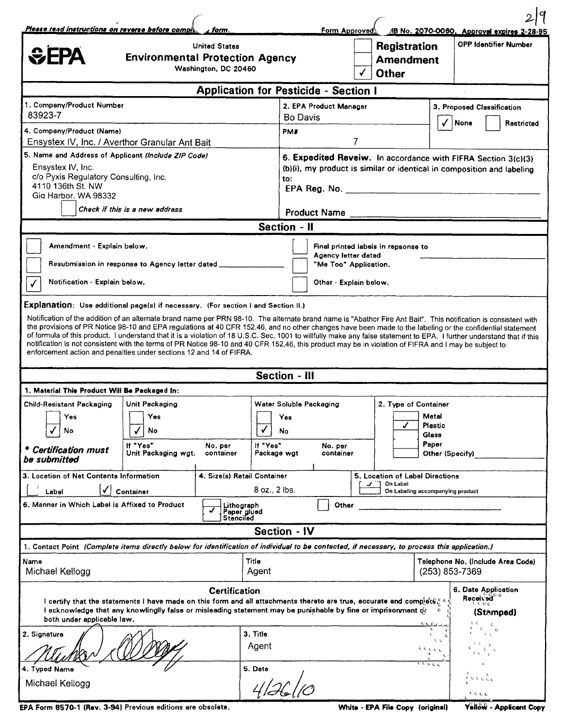| Please read instructions on reverse before comple.                                                                                                                                                                                                                                                                                                                                                                                                                                                                                                                                                                                                                                                                                                                                                                           | form.                                                                      |                                                                                                                                                                | Form Approved                                                                                                 |                                                         | AB No. 2070-0060. Approval expires 2-28-95            |
|------------------------------------------------------------------------------------------------------------------------------------------------------------------------------------------------------------------------------------------------------------------------------------------------------------------------------------------------------------------------------------------------------------------------------------------------------------------------------------------------------------------------------------------------------------------------------------------------------------------------------------------------------------------------------------------------------------------------------------------------------------------------------------------------------------------------------|----------------------------------------------------------------------------|----------------------------------------------------------------------------------------------------------------------------------------------------------------|---------------------------------------------------------------------------------------------------------------|---------------------------------------------------------|-------------------------------------------------------|
| <b><i><u></u></i></b> CEPA<br><b>Environmental Protection Agency</b>                                                                                                                                                                                                                                                                                                                                                                                                                                                                                                                                                                                                                                                                                                                                                         | <b>United States</b><br>Washington, DC 20460                               |                                                                                                                                                                | $\checkmark$                                                                                                  | <b>Registration</b><br><b>Amendment</b><br><b>Other</b> | <b>OPP Identifier Number</b>                          |
|                                                                                                                                                                                                                                                                                                                                                                                                                                                                                                                                                                                                                                                                                                                                                                                                                              |                                                                            | <b>Application for Pesticide - Section I</b>                                                                                                                   |                                                                                                               |                                                         |                                                       |
| 1. Company/Product Number<br>83923-7                                                                                                                                                                                                                                                                                                                                                                                                                                                                                                                                                                                                                                                                                                                                                                                         |                                                                            | Bo Davis                                                                                                                                                       | 2. EPA Product Manager                                                                                        |                                                         | 3. Proposed Classification<br>None<br>Restricted      |
| 4. Company/Product (Name)<br>Ensystex IV, Inc. / Averthor Granular Ant Bait                                                                                                                                                                                                                                                                                                                                                                                                                                                                                                                                                                                                                                                                                                                                                  |                                                                            | PM#                                                                                                                                                            | 7                                                                                                             |                                                         |                                                       |
| 5. Name and Address of Applicant (Include ZIP Code)<br>Ensystex IV, Inc.<br>c/o Pyxis Regulatory Consulting, Inc.<br>4110 136th St. NW<br>Gig Harbor, WA 98332<br>Check if this is a new address                                                                                                                                                                                                                                                                                                                                                                                                                                                                                                                                                                                                                             |                                                                            | 6. Expedited Reveiw. In accordance with FIFRA Section 3(c)(3)<br>(b)(i), my product is similar or identical in composition and labeling<br>to:<br>Product Name |                                                                                                               |                                                         |                                                       |
|                                                                                                                                                                                                                                                                                                                                                                                                                                                                                                                                                                                                                                                                                                                                                                                                                              |                                                                            | <b>Section - II</b>                                                                                                                                            |                                                                                                               |                                                         |                                                       |
| Amendment - Explain below.<br>Resubmission in response to Agency letter dated _____<br>Notification - Explain below.                                                                                                                                                                                                                                                                                                                                                                                                                                                                                                                                                                                                                                                                                                         |                                                                            |                                                                                                                                                                | Final printed labels in repsonse to<br>Agency letter dated<br>"Me Too" Application.<br>Other - Explain below. |                                                         |                                                       |
| Explanation: Use additional page(s) if necessary. (For section I and Section II.)<br>Notification of the addition of an alternate brand name per PRN 98-10. The alternate brand name is "Abathor Fire Ant Bait". This notification is consistent with<br>the provisions of PR Notice 98-10 and EPA regulations at 40 CFR 152.46, and no other changes have been made to the labeling or the confidential statement<br>of formula of this product. I understand that it is a violation of 18 U.S.C. Sec. 1001 to willfully make any false statement to EPA. I further understand that if this<br>notification is not consistent with the terms of PR Notice 98-10 and 40 CFR 152.46, this product may be in violation of FIFRA and I may be subject to<br>enforcement action and penalties under sections 12 and 14 of FIFRA. |                                                                            |                                                                                                                                                                |                                                                                                               |                                                         |                                                       |
|                                                                                                                                                                                                                                                                                                                                                                                                                                                                                                                                                                                                                                                                                                                                                                                                                              |                                                                            | <b>Section - III</b>                                                                                                                                           |                                                                                                               |                                                         |                                                       |
| 1. Material This Product Will Be Packaged In:                                                                                                                                                                                                                                                                                                                                                                                                                                                                                                                                                                                                                                                                                                                                                                                |                                                                            |                                                                                                                                                                |                                                                                                               |                                                         |                                                       |
| <b>Child-Resistant Packaging</b><br>Unit Packaging<br>Yes]<br>Yes<br>No<br>No<br>If "Yes"<br>* Certification must<br>Unit Packaging wgt.                                                                                                                                                                                                                                                                                                                                                                                                                                                                                                                                                                                                                                                                                     | No. per<br>container                                                       | Water Soluble Packaging<br>Yes<br>No<br>If "Yes"<br>Package wgt                                                                                                | No. per<br>container                                                                                          | 2. Type of Container<br>J                               | Metal<br>Plastic<br>Glass<br>Paper<br>Other (Specify) |
| be submitted<br>3. Location of Net Contents Information                                                                                                                                                                                                                                                                                                                                                                                                                                                                                                                                                                                                                                                                                                                                                                      | 4. Size(s) Retail Container<br>5. Location of Label Directions<br>On Label |                                                                                                                                                                |                                                                                                               |                                                         |                                                       |
| Container<br>Label<br>6. Manner in Which Label is Affixed to Product                                                                                                                                                                                                                                                                                                                                                                                                                                                                                                                                                                                                                                                                                                                                                         | Lithograph<br>Paper glued<br>Stenciled<br>J                                | 8 oz., 2 lbs.                                                                                                                                                  | Other                                                                                                         |                                                         | On Labeling accompanying product                      |
|                                                                                                                                                                                                                                                                                                                                                                                                                                                                                                                                                                                                                                                                                                                                                                                                                              |                                                                            | <b>Section - IV</b>                                                                                                                                            |                                                                                                               |                                                         |                                                       |
| 1. Contact Point (Complete items directly below for identification of individual to be contacted, if necessary, to process this application.)                                                                                                                                                                                                                                                                                                                                                                                                                                                                                                                                                                                                                                                                                |                                                                            |                                                                                                                                                                |                                                                                                               |                                                         |                                                       |
| Name<br>Michael Kellogg                                                                                                                                                                                                                                                                                                                                                                                                                                                                                                                                                                                                                                                                                                                                                                                                      |                                                                            | Title<br>Agent                                                                                                                                                 |                                                                                                               |                                                         | Telephone No. (Include Area Code)<br>(253) 853-7369   |
| 6. Date Application<br><b>Certification</b><br>Received <sup>co</sup><br>l certify that the statements I have made on this form and all attachments thereto are true, accurate and comp $\setminus$ e $G$ C $\subset$<br>-c e c<br>I acknowledge that any knowlinglly false or misleading statement may be punishable by fine or imprisonment of<br>(Stamped)<br>both under applicable law.<br>$0 \in \mathcal{C}_\mathcal{A}$                                                                                                                                                                                                                                                                                                                                                                                               |                                                                            |                                                                                                                                                                |                                                                                                               |                                                         |                                                       |
| 2. Signature                                                                                                                                                                                                                                                                                                                                                                                                                                                                                                                                                                                                                                                                                                                                                                                                                 |                                                                            | 3. Title<br>Agent                                                                                                                                              |                                                                                                               |                                                         | t.<br>$\mathbf{C} \subset \mathbf{C}$<br>e di di d    |
| 4. Typed Name<br>Michael Kellogg                                                                                                                                                                                                                                                                                                                                                                                                                                                                                                                                                                                                                                                                                                                                                                                             |                                                                            | 5. Date                                                                                                                                                        |                                                                                                               |                                                         | cccc                                                  |

EPA Form 8570-1 (Rev. 3-94) Previous editions are obsolete. White - EPA File Copy (original)

Yellow - Applicant Copy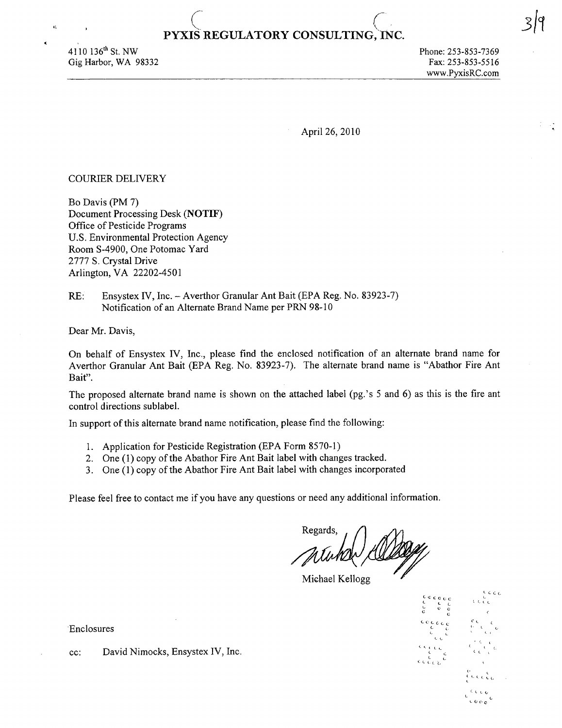## $($ **PYXIS REGULATORY CONSULTING,·INC.**

 $4110$  136<sup>th</sup> St. NW Gig Harbor, WA 98332

 $\mathbf{a}$ 

April 26, 2010

#### COURlER DELNERY

Bo Davis (PM 7) Document Processing Desk (NOTIF) Office of Pesticide Programs U.S. Environmental Protection Agency Room S-4900, One Potomac Yard 2777 S. Crystal Drive Arlington, VA 22202-4501

RE: Ensystex *IV*, *Inc.* - Averthor Granular Ant Bait (EPA Reg. No. 83923-7) Notification of an Alternate Brand Name per PRN 98-10

Dear Mr. Davis,

On behalf of Ensystex N, Inc., please find the enclosed notification of an alternate brand name for Averthor Granular Ant Bait (EPA Reg. No. 83923-7). The alternate brand name is "Abathor Fire Ant Bait".

The proposed alternate brand name is shown on the attached label (pg.'s 5 and 6) as this is the fire ant control directions sublabel.

In support of this alternate brand name notification, please find the following:

- 1. Application for Pesticide Registration (EPA Form 8570-1)
- 2. One (1) copy of the Abathor Fire Ant Bait label with changes tracked.
- 3. One (1) copy of the Abathor Fire Ant Bait label with changes incorporated

Please feel free to contact me if you have any questions or need any additional information.

Regards, I MUMON COLORIZA

Michael Kellogg



C·

Enclosures

cc: David Nimocks, Ensystex IV, Inc.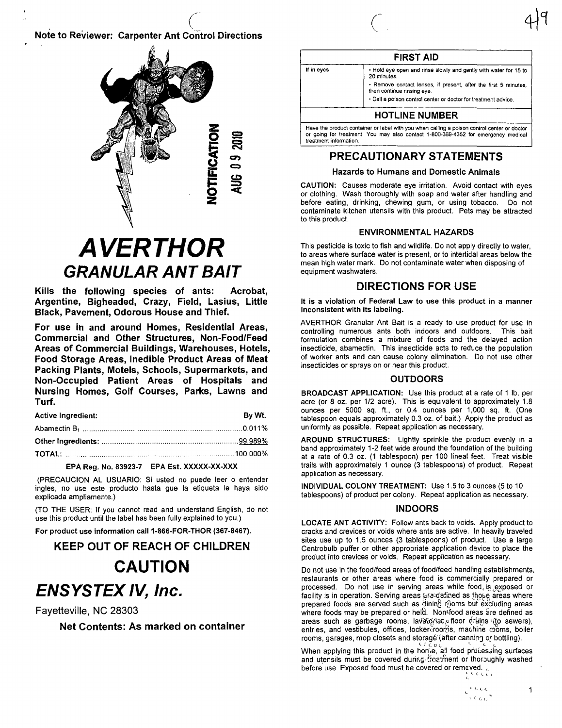## **Note to Reviewer: Carpenter Ant Control Directions**



## **AVERTHOR GRANULAR ANT BAIT**

Kills the following species of ants: Acrobat, Argentine, Bigheaded, Crazy, Field, Lasius, Little Black, Pavement, Odorous House and Thief.

For use in and around Homes, Residential Areas, Commercial and Other Structures, Non-Food/Feed Areas of Commercial Buildings, Warehouses, Hotels, Food Storage Areas, Inedible Product Areas of Meat Packing Plants, Motels, Schools, Supermarkets, and Non-Occupied Patient Areas of Hospitals and Nursing Homes, Golf Courses, Parks, Lawns and Turf.

| <b>Active Ingredient:</b> | By Wt. |
|---------------------------|--------|
|                           |        |
|                           |        |
|                           |        |

#### EPA Reg. No. 83923-7 EPA Est. XXXXX-XX-XXX

(PRECAUCION AL USUARIO: Si usted no puede leer o entender ingles, no use este producto hasta que la etiqueta le haya sido explicada ampliamente.)

(TO THE USER: If you cannot read and understand English, do not use this product until the label has been fully explained to you.)

For product use information call 1-866-FOR-THOR (367-8467).

## **KEEP OUT OF REACH OF CHILDREN**

## **CAUTION ENSYSTEX IV, Inc.**

Fayetteville, NC 28303

Net Contents: As marked on container

**FIRST AID** If in eyes . Hold eye open and rinse slowly and gently with water for 15 to 20 minutes - Remove contact lenses, if present, after the first 5 minutes, then continue rinsing eye . Call a poison control center or doctor for treatment advice **HOTLINE NUMBER** Have the product container or label with you when calling a poison control center or doctor<br>or going for treatment. You may also contact 1-800-369-4352 for emergency medical treatment information.

### PRECAUTIONARY STATEMENTS

#### **Hazards to Humans and Domestic Animals**

CAUTION: Causes moderate eye irritation. Avoid contact with eyes or clothing. Wash thoroughly with soap and water after handling and before eating, drinking, chewing gum, or using tobacco. Do not contaminate kitchen utensils with this product. Pets may be attracted to this product.

#### **ENVIRONMENTAL HAZARDS**

This pesticide is toxic to fish and wildlife. Do not apply directly to water, to areas where surface water is present, or to intertidal areas below the mean high water mark. Do not contaminate water when disposing of equipment washwaters.

### **DIRECTIONS FOR USE**

It is a violation of Federal Law to use this product in a manner inconsistent with its labeling.

AVERTHOR Granular Ant Bait is a ready to use product for use in controlling numerous ants both indoors and outdoors. This bait formulation combines a mixture of foods and the delayed action insecticide, abamectin. This insecticide acts to reduce the population of worker ants and can cause colony elimination. Do not use other insecticides or sprays on or near this product.

#### **OUTDOORS**

BROADCAST APPLICATION: Use this product at a rate of 1 lb. per acre (or 8 oz. per 1/2 acre). This is equivalent to approximately 1.8 ounces per 5000 sq. ft., or 0.4 ounces per 1,000 sq. ft. (One tablespoon equals approximately 0.3 oz. of bait.) Apply the product as uniformly as possible. Repeat application as necessary.

AROUND STRUCTURES: Lightly sprinkle the product evenly in a band approximately 1-2 feet wide around the foundation of the building at a rate of 0.3 oz. (1 tablespoon) per 100 lineal feet. Treat visible trails with approximately 1 ounce (3 tablespoons) of product. Repeat application as necessary.

INDIVIDUAL COLONY TREATMENT: Use 1.5 to 3 ounces (5 to 10 tablespoons) of product per colony. Repeat application as necessary.

#### **INDOORS**

LOCATE ANT ACTIVITY: Follow ants back to voids. Apply product to cracks and crevices or voids where ants are active. In heavily traveled sites use up to 1.5 ounces (3 tablespoons) of product. Use a large Centrobulb puffer or other appropriate application device to place the product into crevices or voids. Repeat application as necessary.

Do not use in the food/feed areas of food/feed handling establishments, restaurants or other areas where food is commercially prepared or processed. Do not use in serving areas while food is exposed or facility is in operation. Serving areas are defined as those areas where prepared foods are served such as dining rioms but excluding areas where foods may be prepared or held. Non-food areas are defined as areas such as garbage rooms, lavatories, floor orains (to sewers), entries, and vestibules, offices, locker rooms, machine rooms, boiler rooms, garages, mop closets and storage (after canning or bottling).

When applying this product in the home, all food processing surfaces and utensils must be covered during treatment or thoroughly washed before use. Exposed food must be covered or remeved. *coci.* 

> $e^{\hat{\zeta}(\zeta)}\hat{\zeta}(\zeta)$ i cook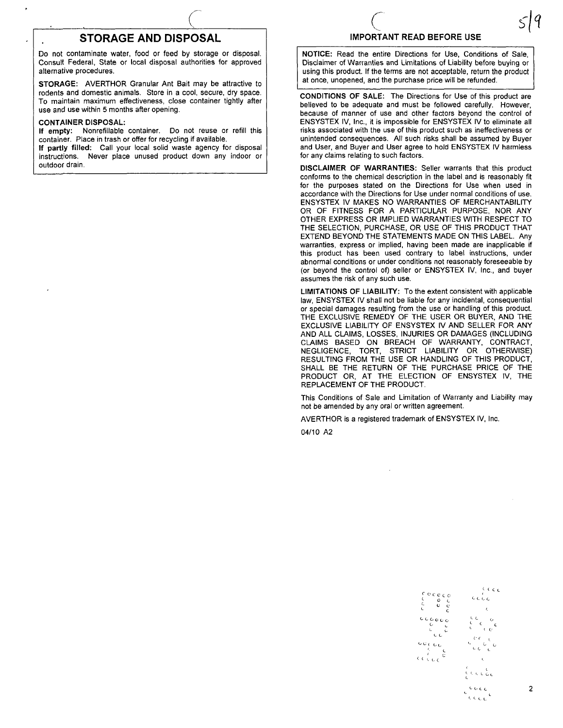## **STORAGE AND DISPOSAL**

Do not contaminate water, food or feed by storage or disposal. Consult Federal, State or local disposal authorities for approved alternative procedures.

STORAGE: AVERTHOR Granular Ant Bait may be attractive to rodents and domestic animals. Store in a cool, secure, dry space. To maintain maximum effectiveness, close container tightly after use and use within 5 months after opening.

#### CONTAINER DISPOSAL:

If empty: Nonrefillable container. Do not reuse or refill this container. Place in trash or offer for recycling if available.

If partly filled: Call your local solid waste agency for disposal instructions. Never place unused product down any indoor or outdoor drain.

# C<br>IMPORTANT READ BEFORE USE

NOTICE: Read the entire Directions for Use, Conditions of Sale, Disclaimer of Warranties and Limitations of Liability before buying or using this product. If the terms are not acceptable, return the product at once, unopened, and the purchase price will be refunded.

CONDITIONS OF SALE: The Directions for Use of this product are believed to be adequate and must be followed carefully. However, because of manner of use and other factors beyond the control of ENSYSTEX IV, Inc., it is impossible for ENSYSTEX IV to eliminate all risks associated with the use of this product such as ineffectiveness or unintended consequences. All such risks shall be assumed by Buyer and User, and Buyer and User agree to hold ENSYSTEX IV harmless for any claims relating to such factors.

DISCLAIMER OF WARRANTIES: Seller warrants that this product conforms to the chemical description in the label.and is reasonably fit for the purposes stated on the Directions for Use when used in accordance with the Directions for Use under normal conditions of use. ENSYSTEX IV MAKES NO WARRANTIES OF MERCHANTABILITY OR OF FITNESS FOR A PARTICULAR PURPOSE, NOR ANY OTHER EXPRESS OR IMPLIED WARRANTIES WITH RESPECT TO THE SELECTION, PURCHASE, OR USE OF THIS PRODUCT THAT EXTEND BEYOND THE STATEMENTS MADE ON THIS LABEL. Any warranties, express or implied, having been made are inapplicable if this product has been used contrary to label instructions, under abnormal conditions or under conditions not reasonably foreseeable by (or beyond the control of) seller or ENSYSTEX IV, Inc., and buyer assumes the risk of any such use.

LIMITATIONS OF LIABILITY: To the extent consistent with applicable law, ENSYSTEX IV shall not be liable for any incidental, consequential or special damages resulting from the use or handling of this product. THE EXCLUSIVE REMEDY OF THE USER OR BUYER, AND THE EXCLUSIVE LIABILITY OF ENSYSTEX IV AND SELLER FOR ANY AND ALL CLAIMS, LOSSES, INJURIES OR DAMAGES (INCLUDING CLAIMS BASED ON BREACH OF WARRANTY, CONTRACT, NEGLIGENCE, TORT, STRICT LIABILITY OR OTHERWISE) RESULTING FROM THE USE OR HANDLING OF THIS PRODUCT, SHALL BE THE RETURN OF THE PURCHASE PRICE OF THE PRODUCT OR, AT THE ELECTION OF ENSYSTEX IV, THE REPLACEMENT OF THE PRODUCT.

This Conditions of Sale and Limitation of Warranty and Liability may not be amended by any oral or written agreement.

AVERTHOR is a registered trademark of ENSYSTEX IV, Inc.

04/10 A2

<sup>C-</sup>C-C-C-C  $\sim$  0  $\prime$  $\sim$  c $\rm c$  $\sim$  c  $0<sub>C</sub>$ c. C L e-LL  $\circ\circ$  (,  $\circ$  ) د د ژبې د  $C$  (  $C$   $C$  $C_{C}$ , o c  $\cdot$  . . . . .

 $\epsilon$  c  $\epsilon$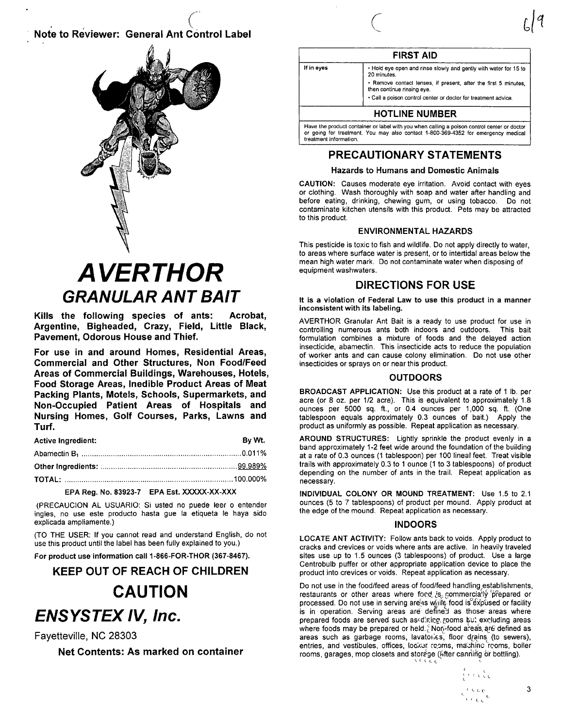## Note to Reviewer: General Ant Control Label

(.



## **AVERTHOR GRANULAR ANT BAIT**

Kills the following species of ants: Acrobat, Argentine, Bigheaded, Crazy, Field, Little Black, Pavement, Odorous House and Thief.

For use in and around Homes, Residential Areas, Commercial and Other Structures, Non Food/Feed Areas of Commercial Buildings, Warehouses, Hotels, Food Storage Areas, Inedible Product Areas of Meat Packing Plants, Motels, Schools, Supermarkets, and Non-Occupied Patient Areas of Hospitals and Nursing Homes, Golf Courses, Parks, Lawns and Turf.

| <b>Active Ingredient:</b> | Bv Wt. |
|---------------------------|--------|
|                           |        |
|                           |        |
|                           |        |
|                           |        |

#### EPA Reg. No. 83923-7 EPA Est. XXXXX-XX-XXX

(PRECAUCION AL USUARIO: Si usted no puede leer 0 entender ingles, no use este producto hasta gue la etiqueta Ie haya sido explicada ampliamente.)

(TO THE USER: If you cannot read and understand English, do not use this product until the label has been fully explained to you.)

For product use information call 1-866-FOR-THOR (367-8467).

## KEEP OUT OF REACH OF CHILDREN **CAUTION ENSYSTEX IV, Inc.**

Fayetteville, NC 28303

Net Contents: As marked on container



#### FIRST AID

| If in eyes | . Hold eye open and rinse slowly and gently with water for 15 to<br>20 minutes.<br>. Remove contact lenses, if present, after the first 5 minutes,<br>then continue rinsing eye. |
|------------|----------------------------------------------------------------------------------------------------------------------------------------------------------------------------------|
|            | . Call a poison control center or doctor for treatment advice.                                                                                                                   |
|            | <b>HOTLINE NUMBER</b>                                                                                                                                                            |

Have the product container or label with you when calling a poison control center or doctor or going for treatment. You may also contact 1-800-369-4352 for emergency medical treatment information.

## PRECAUTIONARY STATEMENTS

#### Hazards to Humans and Domestic Animals

CAUTION: Causes moderate eye irritation. Avoid contact with eyes or clothing. Wash thoroughly with soap and water after handling and before eating, drinking, chewing gum, or using tobacco. Do not contaminate kitchen utensils with this product. Pets may be attracted to this product.

#### ENVIRONMENTAL HAZARDS

This pesticide is toxic to fish and wildlife. Do not apply directly to water, to areas where surface water is present, or to intertidal areas below the mean high water mark. Do not contaminate water when disposing of equipment washwaters.

### DIRECTIONS FOR USE

It is a violation of Federal Law to use this product in a manner inconsistent with its labeling.

AVERTHOR Granular Ant Bait is a ready to use product for use in controlling numerous ants both indoors and outdoors. This bait formulation combines a mixture of foods and the delayed action insecticide, abamectin. This insecticide acts to reduce the population of worker ants and can cause colony elimination. Do not use other insecticides or sprays on or near this product.

#### **OUTDOORS**

BROADCAST APPLICATION: Use this product at a rate of 1 lb. per acre (or 8 oz. per 1/2 acre). This is equivalent to approximately 1.8 ounces per 5000 sq. ft., or 0.4 ounces per 1,000 sq. ft. (One tablespoon equals approximately 0.3 ounces of bait.) Apply the product as uniformly as possible. Repeat application as necessary.

AROUND STRUCTURES: Lightly sprinkle the product evenly in a band approximately 1-2 feet wide around the foundation of the building at a rate of 0.3 ounces (1 tablespoon) per 100 lineal feet. Treat visible trails with approximately 0.3 to 1 ounce (1 to 3 tablespoons) of product depending on the number of ants in the trail. Repeat application as necessary.

INDIVIDUAL COLONY OR MOUND TREATMENT: Use 1.5 to 2.1 ounces (5 to 7 tablespoons) of product per mound. Apply product at the edge of the mound. Repeat application as necessary.

#### INDOORS

LOCATE ANT ACTIVITY: Follow ants back to voids. Apply product to cracks and crevices or voids where ants are active. In heavily traveled sites use up to 1.5 ounces (3 tablespoons) of product. Use a large Centrobulb puffer or other appropriate application device to place the product into crevices or voids. Repeat application as necessary.

Do not use in the food/feed areas of food/feed handling establishments, restaurants or other areas where foed  $i$ s<sub>3</sub> gommercia<sup>l</sup>ly 'prepared or processed. Do not use in serving are as while food is expused or facility is in operation. Serving areas are define'J as those' areas where prepared foods are served such as diring, rooms but excluding areas where foods may be prepared or held. Mon-food areas, are defined as areas such as garbage rooms, lavatories, floor drains (to sewers), entries, and vestibules, offices, locker rooms, machine rooms, boiler rooms, garages, mop closets and storage (After canning or bottling).

> د د ر ژ ر  $\epsilon$  is considered by  $\epsilon$  3  $\epsilon$  (  $\epsilon$  ).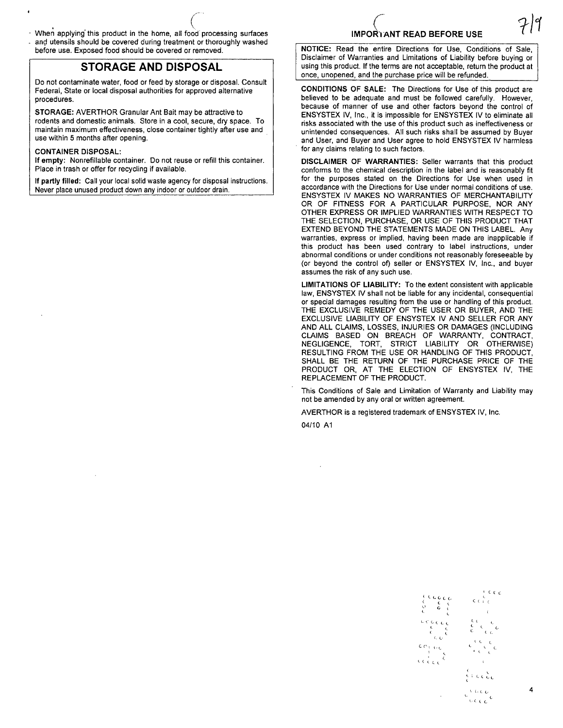- When applying this product in the home, all food processing surfaces ang utensils should be covered during treatment or thoroughly washed
- before use. Exposed food should be covered or removed.

## **STORAGE AND DISPOSAL**

Do not contaminate water, food or feed by storage or disposal. Consult Federal, State or local disposal authorities for approved alternative procedures.

STORAGE: AVERTHOR Granular Ant Bait may be attractive to rodents and domestic animals. Store in a cool, secure, dry space. To maintain maximum effectiveness, close container tightly after use and use within 5 months after opening.

#### CONTAINER DISPOSAL:

If empty: Nonrefillable container. Do not reuse or refill this container. Place in trash or offer for recycling if available.

If partly filled: Call your local solid waste agency for disposal instructions. Never place unused product down any indoor or outdoor drain.

## $\bigg($ IMPOR1ANT READ BEFORE USE

NOTICE: Read the entire Directions for Use, Conditions of Sale, Disclaimer of Warranties and Limitations of Liability before buying or using this product. If the terms are not acceptable, return the product at once, unopened, and the purchase price will be refunded.

CONDITIONS OF SALE: The Directions for Use of this product are believed to be adequate and must be followed carefully. However, because of manner of use and other factors beyond the control of ENSYSTEX IV, Inc., it is impossible for ENSYSTEX IV to eliminate all risks associated with the use of this product such as ineffectiveness or unintended consequences. All such risks shall be assumed by Buyer and User, and Buyer and User agree to hold ENSYSTEX IV harmless for any claims relating to such factors.

DISCLAIMER OF WARRANTIES: Seller warrants that this product conforms to the chemical description in the label and is reasonably fit for the purposes stated on the Directions for Use when used in accordance with the Directions for Use under normal conditions of use. ENSYSTEX IV MAKES NO WARRANTIES OF MERCHANTABILITY OR OF FITNESS FOR A PARTICULAR PURPOSE, NOR ANY OTHER EXPRESS OR IMPLIED WARRANTIES WITH RESPECT TO THE SELECTION, PURCHASE, OR USE OF THIS PRODUCT THAT EXTEND BEYOND THE STATEMENTS MADE ON THIS LABEL. Any warranties, express or implied, having been made are inapplicable if this product has been used contrary to label instructions, under abnormal conditions or under conditions not reasonably foreseeable by (or beyond the control of) seller or ENSYSTEX IV, Inc., and buyer assumes the risk of any such use.

LIMITATIONS OF LIABILITY: To the extent consistent with applicable law, ENSYSTEX IV shall not be liable for any incidental, consequential or special damages resulting from the use or handling of this product. THE EXCLUSIVE REMEDY OF THE USER OR BUYER, AND THE EXCLUSIVE LIABILITY OF ENSYSTEX IV AND SELLER FOR ANY AND ALL CLAIMS, LOSSES, INJURIES OR DAMAGES (INCLUDING CLAIMS BASED ON BREACH OF WARRANTY, CONTRACT, NEGLIGENCE, TORT, STRICT LIABILITY OR OTHERWISE) RESULTING FROM THE USE OR HANDLING OF THIS PRODUCT, SHALL BE THE RETURN OF THE PURCHASE PRICE OF THE PRODUCT OR, AT THE ELECTION OF ENSYSTEX IV, THE REPLACEMENT OF THE PRODUCT.

This Conditions of Sale and Limitation of Warranty and Liability may not be amended by any oral or written agreement.

AVERTHOR is a registered trademark of ENSYSTEX IV, Inc.

04/10 A1

<.

<sup>L</sup>C ((  $\epsilon$  (  $\epsilon$  $\epsilon$  , ,  $\bar{c}$   $\rightarrow$  ,  $\sim$   $^{\circ}$  $\epsilon$   $\epsilon$   $\epsilon$  $\leftarrow$  . Let  $\frac{1}{\sqrt{2}}$ 

 $\epsilon$  c c c c  $c$  $\begin{matrix} 1, & 1, & 1, & 1 \ 0, & 0, & 1, & 1 \end{matrix}$ <. L. .,. r •. ( L I... <. C, l'  $\begin{array}{ccc} \mathsf{cor}_\mathsf{t} & \mathsf{cc} \\ \mathsf{f} & \mathsf{cc} \\ \mathsf{cc} & \mathsf{cc} \\ \mathsf{cc} & \mathsf{cc} \end{array}$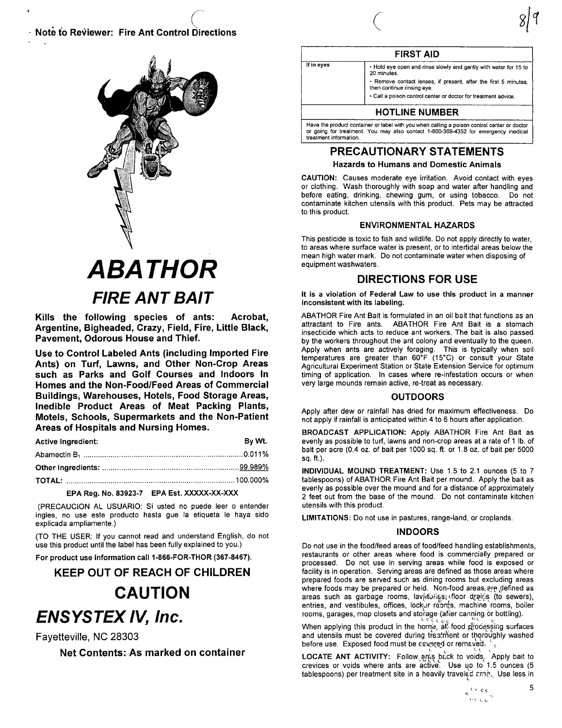Note to Reviewer: Fire Ant Control Directions



## **ABATHOR FIRE ANT BAIT**

Kills the following species of ants: Acrobat. Argentine, Bigheaded, Crazy, Field, Fire, Little Black, Pavement, Odorous House and Thief.

Use to Control Labeled Ants (including Imported Fire Ants) on Turf, Lawns, and Other Non-Crop Areas such as Parks and Golf Courses and Indoors In Homes and the Non-Food/Feed Areas of Commercial Buildings, Warehouses, Hotels, Food Storage Areas, Inedible Product Areas of Meat Packing Plants, Motels, Schools, Supermarkets and the Non-Patient Areas of Hospitals and Nursing Homes.

| Bv Wt. |
|--------|
|        |
|        |
|        |
|        |

#### EPA Reg. No. 83923-7 EPA Est. XXXXX-XX-XXX

(PRECAUCION AL USUARIO: Si usted no puede leer o entender ingles, no use este producto hasta gue la etiqueta le haya sido explicada ampliamente.)

(TO THE USER: If you cannot read and understand English, do not use this product until the label has been fully explained to you.)

For product use information call 1-866-FOR-THOR (367-8467).

## **KEEP OUT OF REACH OF CHILDREN CAUTION ENSYSTEX IV, Inc.**

Fayetteville, NC 28303

Net Contents: As marked on container



#### **FIRST AID**

| If in eyes | . Hold eye open and rinse slowly and gently with water for 15 to<br>20 minutes.               |
|------------|-----------------------------------------------------------------------------------------------|
|            | . Remove contact lenses, if present, after the first 5 minutes,<br>then continue rinsing eye. |
|            | . Call a poison control center or doctor for treatment advice.                                |
|            | <b>HOTLINE NUMBER</b>                                                                         |

Have the product container or label with you when calling a poison control center or doctor or going for treatment. You may also contact 1-800-369-4352 for emergency medical treatment information

### **PRECAUTIONARY STATEMENTS**

**Hazards to Humans and Domestic Animals** 

CAUTION: Causes moderate eye irritation. Avoid contact with eyes or clothing. Wash thoroughly with soap and water after handling and before eating, drinking, chewing gum, or using tobacco. Do not contaminate kitchen utensils with this product. Pets may be attracted to this product.

#### **ENVIRONMENTAL HAZARDS**

This pesticide is toxic to fish and wildlife. Do not apply directly to water. to areas where surface water is present, or to intertidal areas below the mean high water mark. Do not contaminate water when disposing of equipment washwaters.

## **DIRECTIONS FOR USE**

It is a violation of Federal Law to use this product in a manner inconsistent with its labeling.

ABATHOR Fire Ant Bait is formulated in an oil bait that functions as an attractant to Fire ants. ABATHOR Fire Ant Bait is a stomach insecticide which acts to reduce ant workers. The bait is also passed by the workers throughout the ant colony and eventually to the queen. Apply when ants are actively foraging. This is typically when soil temperatures are greater than 60°F (15°C) or consult your State Agricultural Experiment Station or State Extension Service for optimum timing of application. In cases where re-infestation occurs or when very large mounds remain active, re-treat as necessary.

#### **OUTDOORS**

Apply after dew or rainfall has dried for maximum effectiveness. Do not apply if rainfall is anticipated within 4 to 6 hours after application.

BROADCAST APPLICATION: Apply ABATHOR Fire Ant Bait as evenly as possible to turf, lawns and non-crop areas at a rate of 1 lb. of bait per acre (0.4 oz. of bait per 1000 sq. ft. or 1.8 oz. of bait per 5000 sq. ft.).

INDIVIDUAL MOUND TREATMENT: Use 1.5 to 2.1 ounces (5 to 7 tablespoons) of ABATHOR Fire Ant Bait per mound. Apply the bait as evenly as possible over the mound and for a distance of approximately 2 feet out from the base of the mound. Do not contaminate kitchen utensils with this product.

LIMITATIONS: Do not use in pastures, range-land, or croplands.

#### **INDOORS**

Do not use in the food/feed areas of food/feed handling establishments, restaurants or other areas where food is commercially prepared or processed. Do not use in serving areas while food is exposed or facility is in operation. Serving areas are defined as those areas where prepared foods are served such as dining rooms but excluding areas where foods may be prepared or held. Non-food areas are defined as areas such as garbage rooms, lavatories, floor drains (to sewers), entries, and vestibules, offices, locker reoms, machine rooms, boiler rooms, garages, mop closets and storage (after canning or bottling).

When applying this product in the home, all food processing surfaces and utensils must be covered during treatment or thoroughly washed before use. Exposed food must be covered or removed.

LOCATE ANT ACTIVITY: Follow ants beck to voids. Apply bait to crevices or voids where ants are active. Use up to 1.5 ounces (5 tablespoons) per treatment site in a heavily traveled cree. Use less in